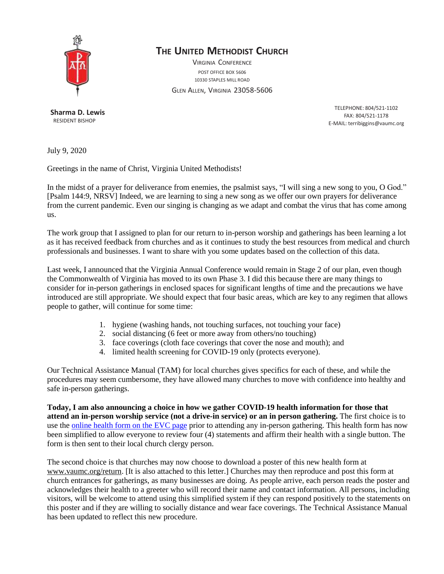

## **THE UNITED METHODIST CHURCH**

VIRGINIA CONFERENCE POST OFFICE BOX 5606 10330 STAPLES MILL ROAD

GLEN ALLEN, VIRGINIA 23058-5606

**Sharma D. Lewis** RESIDENT BISHOP

TELEPHONE: 804/521-1102 FAX: 804/521-1178 E-MAIL: [terribiggins@vaumc.org](mailto:terribiggins@vaumc.org)

July 9, 2020

Greetings in the name of Christ, Virginia United Methodists!

In the midst of a prayer for deliverance from enemies, the psalmist says, "I will sing a new song to you, O God." [Psalm 144:9, NRSV] Indeed, we are learning to sing a new song as we offer our own prayers for deliverance from the current pandemic. Even our singing is changing as we adapt and combat the virus that has come among us.

The work group that I assigned to plan for our return to in-person worship and gatherings has been learning a lot as it has received feedback from churches and as it continues to study the best resources from medical and church professionals and businesses. I want to share with you some updates based on the collection of this data.

Last week, I announced that the Virginia Annual Conference would remain in Stage 2 of our plan, even though the Commonwealth of Virginia has moved to its own Phase 3. I did this because there are many things to consider for in-person gatherings in enclosed spaces for significant lengths of time and the precautions we have introduced are still appropriate. We should expect that four basic areas, which are key to any regimen that allows people to gather, will continue for some time:

- 1. hygiene (washing hands, not touching surfaces, not touching your face)
- 2. social distancing (6 feet or more away from others/no touching)
- 3. face coverings (cloth face coverings that cover the nose and mouth); and
- 4. limited health screening for COVID-19 only (protects everyone).

Our Technical Assistance Manual (TAM) for local churches gives specifics for each of these, and while the procedures may seem cumbersome, they have allowed many churches to move with confidence into healthy and safe in-person gatherings.

**Today, I am also announcing a choice in how we gather COVID-19 health information for those that attend an in-person worship service (not a drive-in service) or an in person gathering.** The first choice is to use the [online](https://www.evc.vaumc.org/open/worshipregistration/Index.cfm) health form on the EVC page prior to attending any in-person gathering. This health form has now been simplified to allow everyone to review four (4) statements and affirm their health with a single button. The form is then sent to their local church clergy person.

The second choice is that churches may now choose to download a poster of this new health form at [www.vaumc.org/return.](http://www.vaumc.org/return) [It is also attached to this letter.] Churches may then reproduce and post this form at church entrances for gatherings, as many businesses are doing. As people arrive, each person reads the poster and acknowledges their health to a greeter who will record their name and contact information. All persons, including visitors, will be welcome to attend using this simplified system if they can respond positively to the statements on this poster and if they are willing to socially distance and wear face coverings. The Technical Assistance Manual has been updated to reflect this new procedure.